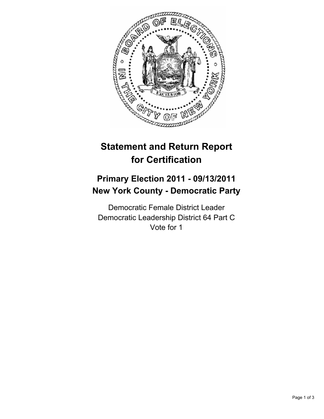

# **Statement and Return Report for Certification**

## **Primary Election 2011 - 09/13/2011 New York County - Democratic Party**

Democratic Female District Leader Democratic Leadership District 64 Part C Vote for 1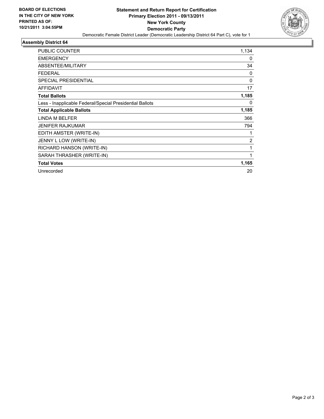

#### **Assembly District 64**

| <b>PUBLIC COUNTER</b>                                    | 1,134    |
|----------------------------------------------------------|----------|
| <b>EMERGENCY</b>                                         | 0        |
| ABSENTEE/MILITARY                                        | 34       |
| <b>FEDERAL</b>                                           | 0        |
| <b>SPECIAL PRESIDENTIAL</b>                              | $\Omega$ |
| <b>AFFIDAVIT</b>                                         | 17       |
| <b>Total Ballots</b>                                     | 1,185    |
| Less - Inapplicable Federal/Special Presidential Ballots | 0        |
| <b>Total Applicable Ballots</b>                          | 1,185    |
| LINDA M BELFER                                           | 366      |
| JENIFER RAJKUMAR                                         | 794      |
| EDITH AMSTER (WRITE-IN)                                  |          |
| JENNY L LOW (WRITE-IN)                                   | 2        |
| RICHARD HANSON (WRITE-IN)                                | 1        |
| SARAH THRASHER (WRITE-IN)                                | 1        |
| <b>Total Votes</b>                                       | 1,165    |
| Unrecorded                                               | 20       |